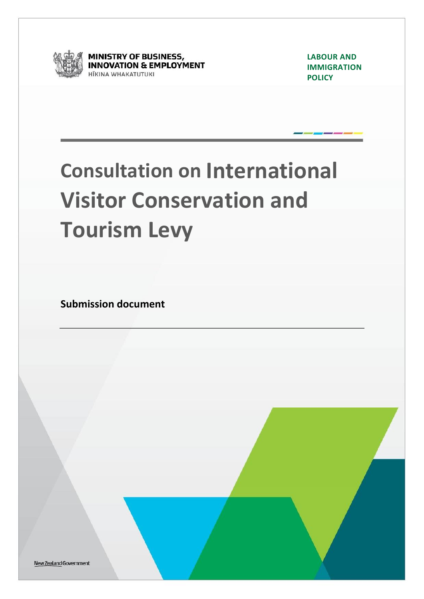

**MINISTRY OF BUSINESS, INNOVATION & EMPLOYMENT ITKINA WHAKATUTUKI** 

**LABOUR AND IMMIGRATION POLICY**

# **Consultation on International Visitor Conservation and Tourism Levy**

**Submission document**

New Zealand Government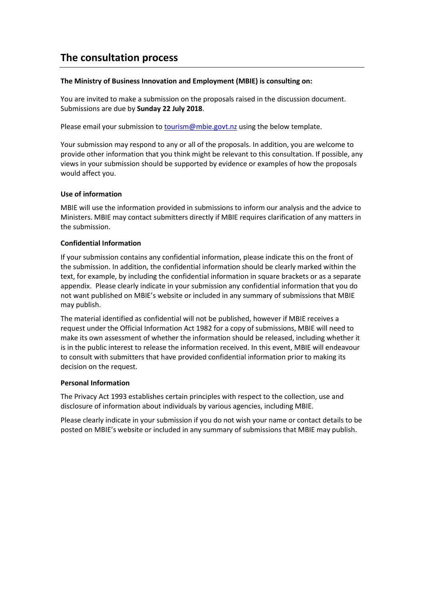### **The consultation process**

#### **The Ministry of Business Innovation and Employment (MBIE) is consulting on:**

You are invited to make a submission on the proposals raised in the discussion document. Submissions are due by **Sunday 22 July 2018**.

Please email your submission t[o tourism@mbie.govt.nz](mailto:tourism@mbie.govt.nz) using the below template.

Your submission may respond to any or all of the proposals. In addition, you are welcome to provide other information that you think might be relevant to this consultation. If possible, any views in your submission should be supported by evidence or examples of how the proposals would affect you.

#### **Use of information**

MBIE will use the information provided in submissions to inform our analysis and the advice to Ministers. MBIE may contact submitters directly if MBIE requires clarification of any matters in the submission.

#### **Confidential Information**

If your submission contains any confidential information, please indicate this on the front of the submission. In addition, the confidential information should be clearly marked within the text, for example, by including the confidential information in square brackets or as a separate appendix. Please clearly indicate in your submission any confidential information that you do not want published on MBIE's website or included in any summary of submissions that MBIE may publish.

The material identified as confidential will not be published, however if MBIE receives a request under the Official Information Act 1982 for a copy of submissions, MBIE will need to make its own assessment of whether the information should be released, including whether it is in the public interest to release the information received. In this event, MBIE will endeavour to consult with submitters that have provided confidential information prior to making its decision on the request.

#### **Personal Information**

The Privacy Act 1993 establishes certain principles with respect to the collection, use and disclosure of information about individuals by various agencies, including MBIE.

Please clearly indicate in your submission if you do not wish your name or contact details to be posted on MBIE's website or included in any summary of submissions that MBIE may publish.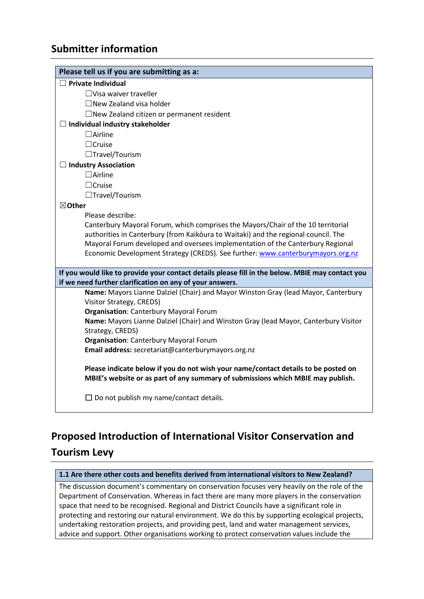## **Submitter information**

| Please tell us if you are submitting as a:                                                                                                                            |
|-----------------------------------------------------------------------------------------------------------------------------------------------------------------------|
| $\Box$ Private Individual                                                                                                                                             |
| $\Box$ Visa waiver traveller                                                                                                                                          |
| $\Box$ New Zealand visa holder                                                                                                                                        |
| $\Box$ New Zealand citizen or permanent resident                                                                                                                      |
| $\Box$ Individual industry stakeholder                                                                                                                                |
| $\Box$ Airline                                                                                                                                                        |
| $\Box$ Cruise                                                                                                                                                         |
| $\Box$ Travel/Tourism                                                                                                                                                 |
| $\Box$ Industry Association                                                                                                                                           |
| $\Box$ Airline                                                                                                                                                        |
| $\Box$ Cruise                                                                                                                                                         |
| $\Box$ Travel/Tourism                                                                                                                                                 |
| $\boxtimes$ Other                                                                                                                                                     |
| Please describe:                                                                                                                                                      |
| Canterbury Mayoral Forum, which comprises the Mayors/Chair of the 10 territorial                                                                                      |
| authorities in Canterbury (from Kaikōura to Waitaki) and the regional council. The                                                                                    |
| Mayoral Forum developed and oversees implementation of the Canterbury Regional                                                                                        |
| Economic Development Strategy (CREDS). See further: www.canterburymayors.org.nz                                                                                       |
| If you would like to provide your contact details please fill in the below. MBIE may contact you<br>if we need further clarification on any of your answers.          |
| Name: Mayors Lianne Dalziel (Chair) and Mayor Winston Gray (lead Mayor, Canterbury                                                                                    |
| Visitor Strategy, CREDS)                                                                                                                                              |
| <b>Organisation: Canterbury Mayoral Forum</b>                                                                                                                         |
| Name: Mayors Lianne Dalziel (Chair) and Winston Gray (lead Mayor, Canterbury Visitor                                                                                  |
| Strategy, CREDS)                                                                                                                                                      |
| <b>Organisation: Canterbury Mayoral Forum</b><br>Email address: secretariat@canterburymayors.org.nz                                                                   |
|                                                                                                                                                                       |
| Please indicate below if you do not wish your name/contact details to be posted on<br>MBIE's website or as part of any summary of submissions which MBIE may publish. |
| $\Box$ Do not publish my name/contact details.                                                                                                                        |

## **Proposed Introduction of International Visitor Conservation and Tourism Levy**

#### **1.1 Are there other costs and benefits derived from international visitors to New Zealand?**

The discussion document's commentary on conservation focuses very heavily on the role of the Department of Conservation. Whereas in fact there are many more players in the conservation space that need to be recognised. Regional and District Councils have a significant role in protecting and restoring our natural environment. We do this by supporting ecological projects, undertaking restoration projects, and providing pest, land and water management services, advice and support. Other organisations working to protect conservation values include the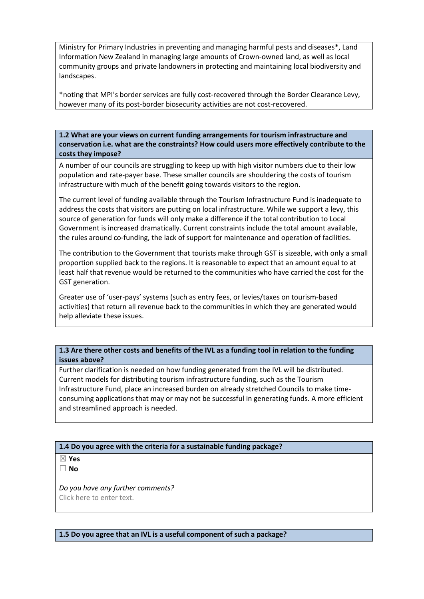Ministry for Primary Industries in preventing and managing harmful pests and diseases\*, Land Information New Zealand in managing large amounts of Crown-owned land, as well as local community groups and private landowners in protecting and maintaining local biodiversity and landscapes.

\*noting that MPI's border services are fully cost-recovered through the Border Clearance Levy, however many of its post-border biosecurity activities are not cost-recovered.

**1.2 What are your views on current funding arrangements for tourism infrastructure and conservation i.e. what are the constraints? How could users more effectively contribute to the costs they impose?**

A number of our councils are struggling to keep up with high visitor numbers due to their low population and rate-payer base. These smaller councils are shouldering the costs of tourism infrastructure with much of the benefit going towards visitors to the region.

The current level of funding available through the Tourism Infrastructure Fund is inadequate to address the costs that visitors are putting on local infrastructure. While we support a levy, this source of generation for funds will only make a difference if the total contribution to Local Government is increased dramatically. Current constraints include the total amount available, the rules around co-funding, the lack of support for maintenance and operation of facilities.

The contribution to the Government that tourists make through GST is sizeable, with only a small proportion supplied back to the regions. It is reasonable to expect that an amount equal to at least half that revenue would be returned to the communities who have carried the cost for the GST generation.

Greater use of 'user-pays' systems (such as entry fees, or levies/taxes on tourism-based activities) that return all revenue back to the communities in which they are generated would help alleviate these issues.

**1.3 Are there other costs and benefits of the IVL as a funding tool in relation to the funding issues above?** 

Further clarification is needed on how funding generated from the IVL will be distributed. Current models for distributing tourism infrastructure funding, such as the Tourism Infrastructure Fund, place an increased burden on already stretched Councils to make timeconsuming applications that may or may not be successful in generating funds. A more efficient and streamlined approach is needed.

**1.4 Do you agree with the criteria for a sustainable funding package?**

☒ **Yes**

☐ **No**

*Do you have any further comments?* Click here to enter text.

**1.5 Do you agree that an IVL is a useful component of such a package?**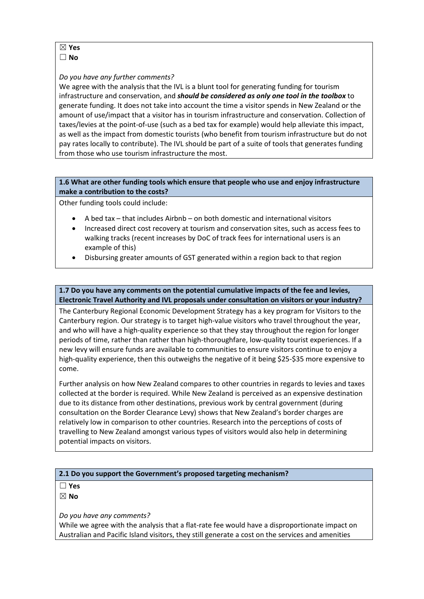#### ☒ **Yes**

☐ **No**

#### *Do you have any further comments?*

We agree with the analysis that the IVL is a blunt tool for generating funding for tourism infrastructure and conservation, and *should be considered as only one tool in the toolbox* to generate funding. It does not take into account the time a visitor spends in New Zealand or the amount of use/impact that a visitor has in tourism infrastructure and conservation. Collection of taxes/levies at the point-of-use (such as a bed tax for example) would help alleviate this impact, as well as the impact from domestic tourists (who benefit from tourism infrastructure but do not pay rates locally to contribute). The IVL should be part of a suite of tools that generates funding from those who use tourism infrastructure the most.

#### **1.6 What are other funding tools which ensure that people who use and enjoy infrastructure make a contribution to the costs?**

Other funding tools could include:

- A bed tax that includes Airbnb on both domestic and international visitors
- Increased direct cost recovery at tourism and conservation sites, such as access fees to walking tracks (recent increases by DoC of track fees for international users is an example of this)
- Disbursing greater amounts of GST generated within a region back to that region

#### **1.7 Do you have any comments on the potential cumulative impacts of the fee and levies, Electronic Travel Authority and IVL proposals under consultation on visitors or your industry?**

The Canterbury Regional Economic Development Strategy has a key program for Visitors to the Canterbury region. Our strategy is to target high-value visitors who travel throughout the year, and who will have a high-quality experience so that they stay throughout the region for longer periods of time, rather than rather than high-thoroughfare, low-quality tourist experiences. If a new levy will ensure funds are available to communities to ensure visitors continue to enjoy a high-quality experience, then this outweighs the negative of it being \$25-\$35 more expensive to come.

Further analysis on how New Zealand compares to other countries in regards to levies and taxes collected at the border is required. While New Zealand is perceived as an expensive destination due to its distance from other destinations, previous work by central government (during consultation on the Border Clearance Levy) shows that New Zealand's border charges are relatively low in comparison to other countries. Research into the perceptions of costs of travelling to New Zealand amongst various types of visitors would also help in determining potential impacts on visitors.

#### **2.1 Do you support the Government's proposed targeting mechanism?**

☐ **Yes**

☒ **No**

*Do you have any comments?*

While we agree with the analysis that a flat-rate fee would have a disproportionate impact on Australian and Pacific Island visitors, they still generate a cost on the services and amenities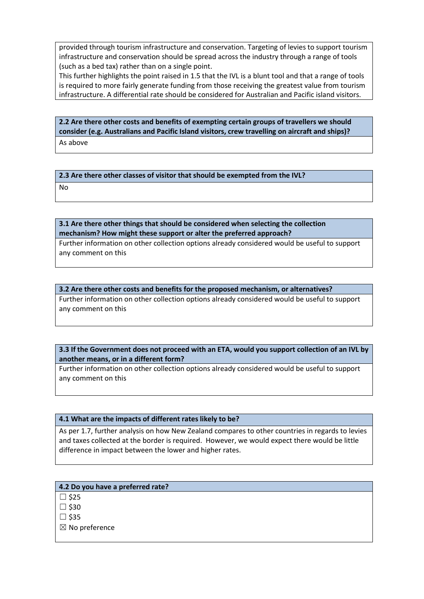provided through tourism infrastructure and conservation. Targeting of levies to support tourism infrastructure and conservation should be spread across the industry through a range of tools (such as a bed tax) rather than on a single point.

This further highlights the point raised in 1.5 that the IVL is a blunt tool and that a range of tools is required to more fairly generate funding from those receiving the greatest value from tourism infrastructure. A differential rate should be considered for Australian and Pacific island visitors.

#### **2.2 Are there other costs and benefits of exempting certain groups of travellers we should consider (e.g. Australians and Pacific Island visitors, crew travelling on aircraft and ships)?** As above

**2.3 Are there other classes of visitor that should be exempted from the IVL?**

No

**3.1 Are there other things that should be considered when selecting the collection mechanism? How might these support or alter the preferred approach?**

Further information on other collection options already considered would be useful to support any comment on this

#### **3.2 Are there other costs and benefits for the proposed mechanism, or alternatives?**

Further information on other collection options already considered would be useful to support any comment on this

#### **3.3 If the Government does not proceed with an ETA, would you support collection of an IVL by another means, or in a different form?**

Further information on other collection options already considered would be useful to support any comment on this

#### **4.1 What are the impacts of different rates likely to be?**

As per 1.7, further analysis on how New Zealand compares to other countries in regards to levies and taxes collected at the border is required. However, we would expect there would be little difference in impact between the lower and higher rates.

#### **4.2 Do you have a preferred rate?**

 $\square$  \$25

 $\square$  \$30

 $\square$ \$35

 $\boxtimes$  No preference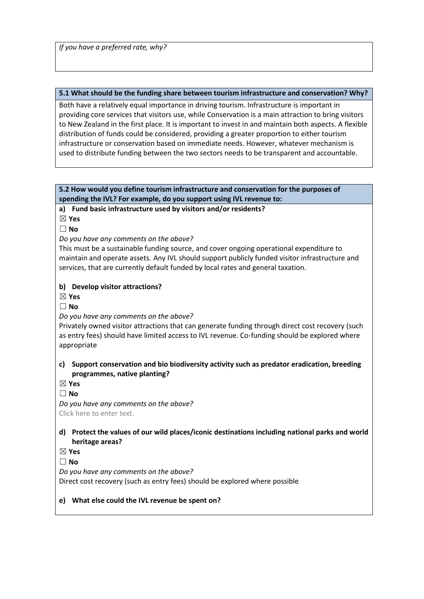*If you have a preferred rate, why?*

#### **5.1 What should be the funding share between tourism infrastructure and conservation? Why?**

Both have a relatively equal importance in driving tourism. Infrastructure is important in providing core services that visitors use, while Conservation is a main attraction to bring visitors to New Zealand in the first place. It is important to invest in and maintain both aspects. A flexible distribution of funds could be considered, providing a greater proportion to either tourism infrastructure or conservation based on immediate needs. However, whatever mechanism is used to distribute funding between the two sectors needs to be transparent and accountable.

#### **5.2 How would you define tourism infrastructure and conservation for the purposes of spending the IVL? For example, do you support using IVL revenue to:**

**a) Fund basic infrastructure used by visitors and/or residents?**

☒ **Yes**

☐ **No**

*Do you have any comments on the above?*

This must be a sustainable funding source, and cover ongoing operational expenditure to maintain and operate assets. Any IVL should support publicly funded visitor infrastructure and services, that are currently default funded by local rates and general taxation.

#### **b) Develop visitor attractions?**

☒ **Yes**

☐ **No**

#### *Do you have any comments on the above?*

Privately owned visitor attractions that can generate funding through direct cost recovery (such as entry fees) should have limited access to IVL revenue. Co-funding should be explored where appropriate

#### **c) Support conservation and bio biodiversity activity such as predator eradication, breeding programmes, native planting?**

☒ **Yes**

☐ **No**

*Do you have any comments on the above?* Click here to enter text.

#### **d) Protect the values of our wild places/iconic destinations including national parks and world heritage areas?**

☒ **Yes**

☐ **No**

*Do you have any comments on the above?*

Direct cost recovery (such as entry fees) should be explored where possible

#### **e) What else could the IVL revenue be spent on?**